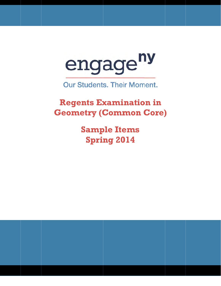

**Our Students. Their Moment.** 

**Regents Examination in Geometry (Common Core)** 

> **S Samp ple Ite ems Spring 2014**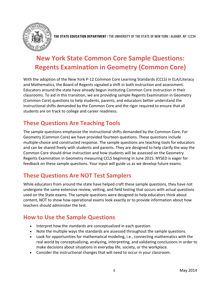

**THE STATE EDUCATION DEPARTMENT** / THE UNIVERSITY OF THE STATE OF NEW YORK / ALBANY, NY 12234

# **New York State Common Core Sample Questions: Regents Examination in Geometry (Common Core)**

With the adoption of the New York P-12 Common Core Learning Standards (CCLS) in ELA/Literacy and Mathematics, the Board of Regents signaled a shift in both instruction and assessment. Educators around the state have already begun instituting Common Core instruction in their classrooms. To aid in this transition, we are providing sample Regents Examination in Geometry (Common Core) questions to help students, parents, and educators better understand the instructional shifts demanded by the Common Core and the rigor required to ensure that all students are on track to college and career readiness.

## **These Questions Are Teaching Tools**

The sample questions emphasize the instructional shifts demanded by the Common Core. For Geometry (Common Core) we have provided fourteen questions. These questions include multiple-choice and constructed response. The sample questions are teaching tools for educators and can be shared freely with students and parents. They are designed to help clarify the way the Common Core should drive instruction and how students will be assessed on the Geometry Regents Examination in Geometry measuring CCLS beginning in June 2015. NYSED is eager for feedback on these sample questions. Your input will guide us as we develop future exams.

## **These Questions Are NOT Test Samplers**

While educators from around the state have helped craft these sample questions, they have not undergone the same extensive review, vetting, and field testing that occurs with actual questions used on the State exams. The sample questions were designed to help educators think about content, NOT to show how operational exams look exactly or to provide information about how teachers should administer the test.

## **How to Use the Sample Questions**

- Interpret how the standards are conceptualized in each question.
- Note the multiple ways the standards are assessed throughout the sample questions.
- Look for opportunities for mathematical modeling, i.e., connecting mathematics with the real world by conceptualizing, analyzing, interpreting, and validating conclusions in order to make decisions about situations in everyday life, society, or the workplace.
- Consider the instructional changes that will need to occur in your classroom.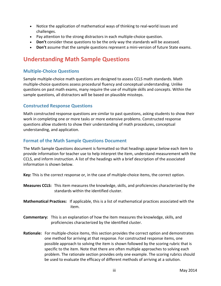- Notice the application of mathematical ways of thinking to real-world issues and challenges.
- Pay attention to the strong distractors in each multiple-choice question.
- **Don't** consider these questions to be the only way the standards will be assessed.
- **Don't** assume that the sample questions represent a mini-version of future State exams.

## **Understanding Math Sample Questions**

## **Multiple-Choice Questions**

Sample multiple-choice math questions are designed to assess CCLS math standards. Math multiple-choice questions assess procedural fluency and conceptual understanding. Unlike questions on past math exams, many require the use of multiple skills and concepts. Within the sample questions, all distractors will be based on plausible missteps.

## **Constructed Response Questions**

Math constructed response questions are similar to past questions, asking students to show their work in completing one or more tasks or more extensive problems. Constructed response questions allow students to show their understanding of math procedures, conceptual understanding, and application.

## **Format of the Math Sample Questions Document**

The Math Sample Questions document is formatted so that headings appear below each item to provide information for teacher use to help interpret the item, understand measurement with the CCLS, and inform instruction. A list of the headings with a brief description of the associated information is shown below.

**Key:** This is the correct response or, in the case of multiple-choice items, the correct option.

- **Measures CCLS:** This item measures the knowledge, skills, and proficiencies characterized by the standards within the identified cluster.
- **Mathematical Practices:** If applicable, this is a list of mathematical practices associated with the item.
- **Commentary:** This is an explanation of how the item measures the knowledge, skills, and proficiencies characterized by the identified cluster.
- **Rationale:** For multiple-choice items, this section provides the correct option and demonstrates one method for arriving at that response. For constructed response items, one possible approach to solving the item is shown followed by the scoring rubric that is specific to the item. Note that there are often multiple approaches to solving each problem. The rationale section provides only one example. The scoring rubrics should be used to evaluate the efficacy of different methods of arriving at a solution.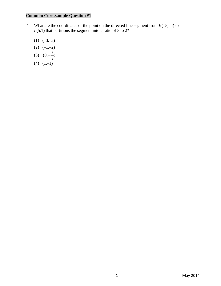- 1 What are the coordinates of the point on the directed line segment from  $K(-5,-4)$  to  $L(5,1)$  that partitions the segment into a ratio of 3 to 2?
	- $(1)$   $(-3,-3)$
	- $(2)$   $(-1,-2)$
- (3)  $(0, -\frac{3}{2})$ 
	- $(4)$   $(1,-1)$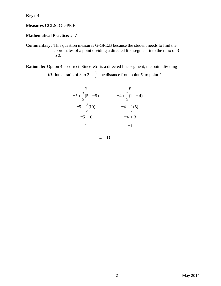**Key:** 4

### **Measures CCLS:** G-GPE.B

### **Mathematical Practice:** 2, 7

**Commentary:** This question measures G-GPE.B because the student needs to find the coordinates of a point dividing a directed line segment into the ratio of 3 to 2.

**Rationale:** Option 4 is correct. Since  $\overline{KL}$  is a directed line segment, the point dividing  $\overline{KL}$  into a ratio of 3 to 2 is  $\frac{3}{4}$ 5 the distance from point  $K$  to point  $L$ .

| x                         | y                         |
|---------------------------|---------------------------|
| $-5 + \frac{3}{5}(5 - 5)$ | $-4 + \frac{3}{5}(1 - 4)$ |
| $-5 + \frac{3}{5}(10)$    | $-4 + \frac{3}{5}(5)$     |
| $-5 + 6$                  | $-4 + 3$                  |
| 1                         | $-1$                      |

 $(1, -1)$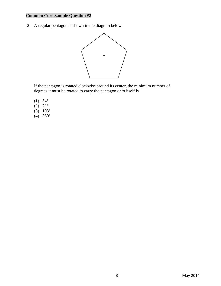2 A regular pentagon is shown in the diagram below.



 If the pentagon is rotated clockwise around its center, the minimum number of degrees it must be rotated to carry the pentagon onto itself is

- (1) 54º
- $(2)$  72°
- $(3)$  108°
- $(4)$  360<sup>o</sup>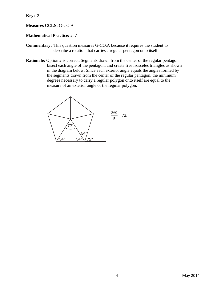**Key:** 2

#### **Measures CCLS:** G-CO.A

#### **Mathematical Practice:** 2, 7

- **Commentary:** This question measures G-CO.A because it requires the student to describe a rotation that carries a regular pentagon onto itself.
- **Rationale:** Option 2 is correct. Segments drawn from the center of the regular pentagon bisect each angle of the pentagon, and create five isosceles triangles as shown in the diagram below. Since each exterior angle equals the angles formed by the segments drawn from the center of the regular pentagon, the minimum degrees necessary to carry a regular polygon onto itself are equal to the measure of an exterior angle of the regular polygon.

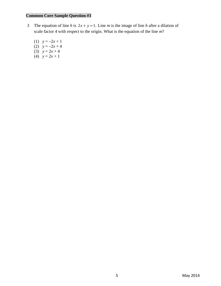- 3 The equation of line *h* is  $2x + y = 1$ . Line *m* is the image of line *h* after a dilation of scale factor 4 with respect to the origin. What is the equation of the line *m*?
	- (1)  $y = -2x + 1$ (2)  $y = -2x + 4$ (3)  $y = 2x + 4$
	- (4)  $y = 2x + 1$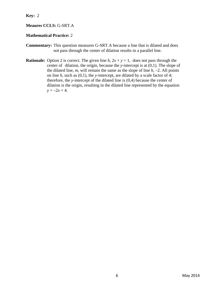**Key:** 2

#### **Meaures CCLS:** G-SRT.A

#### **Mathematical Practice:** 2

- **Commentary:** This question measures G-SRT.A because a line that is dilated and does not pass through the center of dilation results in a parallel line.
- **Rationale:** Option 2 is correct. The given line  $h$ ,  $2x + y = 1$ , does not pass through the center of dilation, the origin, because the *y*-intercept is at (0,1). The slope of the dilated line,  $m$ , will remain the same as the slope of line  $h$ ,  $-2$ . All points on line *h*, such as (0,1), the *y*-intercept, are dilated by a scale factor of 4; therefore, the *y*-intercept of the dilated line is (0,4) because the center of dilation is the origin, resulting in the dilated line represented by the equation  $y = -2x + 4$ .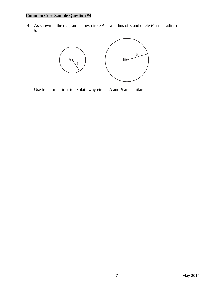4 As shown in the diagram below, circle *A* as a radius of 3 and circle *B* has a radius of 5.



Use transformations to explain why circles *A* and *B* are similar.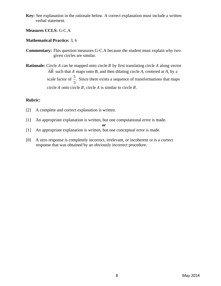**Key:** See explanation in the rationale below. A correct explanation must include a written verbal statement.

#### **Measures CCLS:** G-C.A

#### **Mathematical Practice:** 3, 6

- **Commentary:** This question measures G-C.A because the student must explain why two given circles are similar.
- **Rationale:** Circle  $A$  can be mapped onto circle  $B$  by first translating circle  $A$  along vector AB such that A maps onto B, and then dilating circle A, centered at A, by a scale factor of  $\frac{5}{5}$ 3 . Since there exists a sequence of transformations that maps circle  $A$  onto circle  $B$ , circle  $A$  is similar to circle  $B$ .

#### **Rubric:**

- [2] A complete and correct explanation is written.
- [1] An appropriate explanation is written, but one computational error is made.

$$
\boldsymbol{or}
$$

- [1] An appropriate explanation is written, but one conceptual error is made.
- [0] A zero response is completely incorrect, irrelevant, or incoherent or is a correct response that was obtained by an obviously incorrect procedure.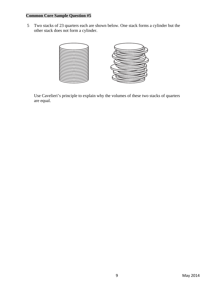5 Two stacks of 23 quarters each are shown below. One stack forms a cylinder but the other stack does not form a cylinder.



 Use Cavelieri's principle to explain why the volumes of these two stacks of quarters are equal.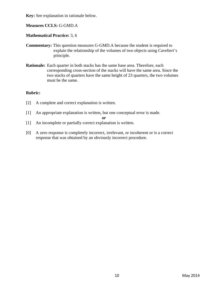**Key:** See explanation in rationale below.

**Measures CCLS:** G-GMD.A

**Mathematical Practice:** 3, 6

- **Commentary:** This question measures G-GMD.A because the student is required to explain the relationship of the volumes of two objects using Cavelieri's principle.
- **Rationale:** Each quarter in both stacks has the same base area. Therefore, each corresponding cross-section of the stacks will have the same area. Since the two stacks of quarters have the same height of 23 quarters, the two volumes must be the same.

#### **Rubric:**

- [2] A complete and correct explanation is written.
- [1] An appropriate explanation is written, but one conceptual error is made.

$$
or
$$

- [1] An incomplete or partially correct explanation is written.
- [0] A zero response is completely incorrect, irrelevant, or incoherent or is a correct response that was obtained by an obviously incorrect procedure.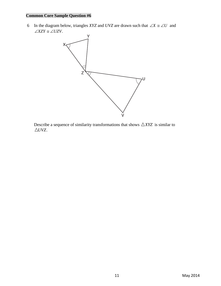6 In the diagram below, triangles *XYZ* and *UVZ* are drawn such that  $\angle X \cong \angle U$  and  $\angle XZY \cong \angle UZV$ .



Describe a sequence of similarity transformations that shows  $\triangle XYZ$  is similar to  $\triangle UVZ.$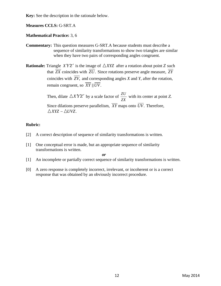**Key:** See the description in the rationale below.

**Measures CCLS:** G-SRT.A

#### **Mathematical Practice:** 3, 6

**Commentary:** This question measures G-SRT.A because students must describe a sequence of similarity transformations to show two triangles are similar when they have two pairs of corresponding angles congruent.

**Rationale:** Triangle *X'Y'Z'* is the image of  $\triangle XYZ$  after a rotation about point *Z* such that  $\overline{ZX}$  coincides with  $\overline{ZU}$ . Since rotations preserve angle measure,  $\overline{ZY}$ coincides with  $\overline{ZV}$ , and corresponding angles *X* and *Y*, after the rotation, remain congruent, so  $\overline{XY}$   $\parallel \overline{UV}$ .

Then, dilate  $\triangle X'Y'Z'$  by a scale factor of  $\frac{ZU}{ZX}$  with its center at point *Z*. Since dilations preserve parallelism,  $\overline{XY}$  maps onto  $\overline{UV}$ . Therefore,  $\triangle XYZ \sim \triangle UVZ$ .

#### **Rubric:**

- [2] A correct description of sequence of similarity transformations is written.
- [1] One conceptual error is made, but an appropriate sequence of similarity transformations is written.

*or*  [1] An incomplete or partially correct sequence of similarity transformations is written.

[0] A zero response is completely incorrect, irrelevant, or incoherent or is a correct response that was obtained by an obviously incorrect procedure.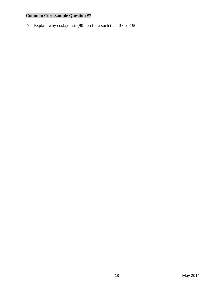7 Explain why  $cos(x) = sin(90 - x)$  for *x* such that  $0 < x < 90$ .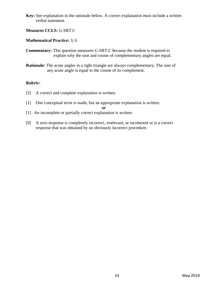**Key:** See explanation in the rationale below. A correct explanation must include a written verbal statement.

#### **Measures CCLS:** G-SRT.C

#### **Mathematical Practice:** 3, 6

- **Commentary:** This question measures G-SRT.C because the student is required to explain why the sine and cosine of complementary angles are equal.
- **Rationale:** The acute angles in a right triangle are always complementary. The sine of any acute angle is equal to the cosine of its complement.

#### **Rubric:**

- [2] A correct and complete explanation is written.
- [1] One conceptual error is made, but an appropriate explanation is written.

*or* 

- [1] An incomplete or partially correct explanation is written.
- [0] A zero response is completely incorrect, irrelevant, or incoherent or is a correct response that was obtained by an obviously incorrect procedure.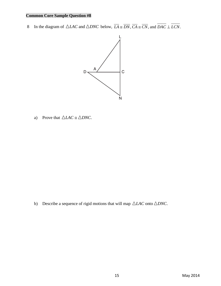8 In the diagram of  $\triangle LAC$  and  $\triangle DNC$  below,  $\overline{LA} \cong \overline{DN}, \overline{CA} \cong \overline{CN}$ , and  $\overline{DAC} \perp \overline{LCN}$ .



a) Prove that  $\triangle LAC \cong \triangle DNC$ .

b) Describe a sequence of rigid motions that will map  $\triangle LAC$  onto  $\triangle DNC$ .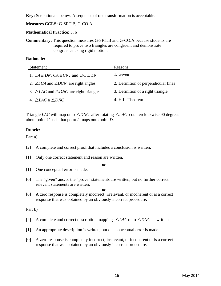**Key:** See rationale below. A sequence of one transformation is acceptable.

#### **Measures CCLS:** G-SRT.B, G-CO.A

#### **Mathematical Practice:** 3, 6

**Commentary:** This question measures G-SRT.B and G-CO.A because students are required to prove two triangles are congruent and demonstrate congruence using rigid motion.

#### **Rationale:**

| <b>Statement</b>                                                                                                    | Reasons                              |
|---------------------------------------------------------------------------------------------------------------------|--------------------------------------|
| 1. $\overline{LA} \cong \overline{DN}, \overline{CA} \cong \overline{CN}$ , and $\overline{DC} \perp \overline{LN}$ | 1. Given                             |
| 2. $\angle$ LCA and $\angle$ DCN are right angles                                                                   | 2. Definition of perpendicular lines |
| 3. $\triangle LAC$ and $\triangle DNC$ are right triangles                                                          | 3. Definition of a right triangle    |
| 4. $\triangle LAC \cong \triangle DNC$                                                                              | 4. H.L. Theorem                      |

Triangle *LAC* will map onto  $\triangle DNC$  after rotating  $\triangle LAC$  counterclockwise 90 degrees about point  $C$  such that point  $L$  maps onto point  $D$ .

#### **Rubric:**

Part a)

- [2] A complete and correct proof that includes a conclusion is written.
- [1] Only one correct statement and reason are written.

*or* 

- [1] One conceptual error is made.
- [0] The "given" and/or the "prove" statements are written, but no further correct relevant statements are written.

*or* 

[0] A zero response is completely incorrect, irrelevant, or incoherent or is a correct response that was obtained by an obviously incorrect procedure.

#### Part b)

- [2] A complete and correct description mapping  $\triangle LAC$  onto  $\triangle DNC$  is written.
- [1] An appropriate description is written, but one conceptual error is made.
- [0] A zero response is completely incorrect, irrelevant, or incoherent or is a correct response that was obtained by an obviously incorrect procedure.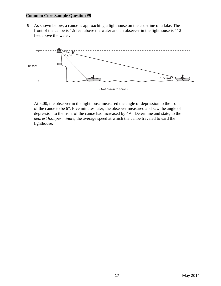9 As shown below, a canoe is approaching a lighthouse on the coastline of a lake. The front of the canoe is 1.5 feet above the water and an observer in the lighthouse is 112 feet above the water.



 At 5:00, the observer in the lighthouse measured the angle of depression to the front of the canoe to be 6°. Five minutes later, the observer measured and saw the angle of depression to the front of the canoe had increased by 49°. Determine and state, to the *nearest foot per minute*, the average speed at which the canoe traveled toward the lighthouse.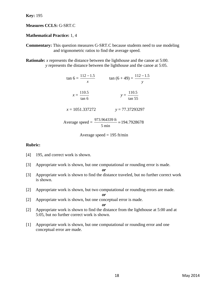**Key:** 195

#### **Measures CCLS:** G-SRT.C

#### **Mathematical Practice:** 1, 4

**Commentary:** This question measures G-SRT.C because students need to use modeling and trigonometric ratios to find the average speed.

**Rationale:** *x* represents the distance between the lighthouse and the canoe at 5:00. *y* represents the distance between the lighthouse and the canoe at 5:05.

| $\tan 6 = \frac{112 - 1.5}{ }$<br>$\mathcal{X}$ | $\tan (6 + 49) = \frac{112 - 1.5}{ }$                                       |
|-------------------------------------------------|-----------------------------------------------------------------------------|
| $x = \frac{110.5}{\tan 6}$                      | $y = \frac{110.5}{\tan 55}$                                                 |
| $x = 1051.337272$                               | $y = 77.37293297$                                                           |
| Average speed $=$                               | $\frac{973.964339 \text{ ft}}{24.7928678} = 194.7928678$<br>$5 \text{ min}$ |

Average speed = 
$$
195 \, \text{ft/min}
$$

#### **Rubric:**

- [4] 195, and correct work is shown.
- [3] Appropriate work is shown, but one computational or rounding error is made.

*or* 

- [3] Appropriate work is shown to find the distance traveled, but no further correct work is shown.
- [2] Appropriate work is shown, but two computational or rounding errors are made.
- [2] Appropriate work is shown, but one conceptual error is made.

$$
\boldsymbol{\mathit{or}}
$$

*or* 

- [2] Appropriate work is shown to find the distance from the lighthouse at 5:00 and at 5:05, but no further correct work is shown.
- [1] Appropriate work is shown, but one computational or rounding error and one conceptual error are made.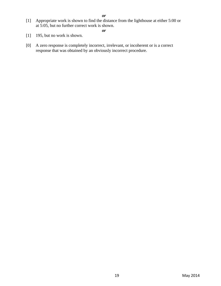[1] Appropriate work is shown to find the distance from the lighthouse at either 5:00 or at 5:05, but no further correct work is shown.

*or*

- [1] 195, but no work is shown.
- [0] A zero response is completely incorrect, irrelevant, or incoherent or is a correct response that was obtained by an obviously incorrect procedure.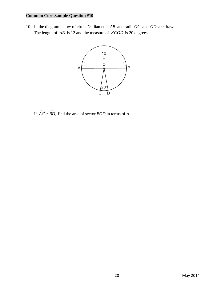10 In the diagram below of circle *O*, diameter  $\overline{AB}$  and radii  $\overline{OC}$  and  $\overline{OD}$  are drawn. The length of  $\overline{AB}$  is 12 and the measure of  $\angle COD$  is 20 degrees.



If  $\widehat{AC} \cong \widehat{BD}$ , find the area of sector *BOD* in terms of π.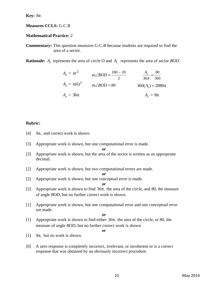**Key:** 8π

#### **Measures CCLS:** G-C.B

#### **Mathematical Practice:** 2

**Commentary:** This question measures G-C.B because students are required to find the area of a sector.

**Rationale:** *Ao* represents the area of circle *O* and *As* represents the area of sector *BOD*.

$$
A_{o} = \pi r^{2}
$$
  
\n
$$
m \angle BOD = \frac{180 - 20}{2}
$$
  
\n
$$
A_{o} = \pi (6)^{2}
$$
  
\n
$$
A_{o} = 36\pi
$$
  
\n
$$
A_{o} = 36\pi
$$
  
\n
$$
A_{o} = 36\pi
$$
  
\n
$$
A_{o} = 36\pi
$$
  
\n
$$
A_{o} = 36\pi
$$
  
\n
$$
A_{o} = 36\pi
$$

#### **Rubric:**

- [4]  $8\pi$ , and correct work is shown.
- [3] Appropriate work is shown, but one computational error is made.

*or* 

- [3] Appropriate work is shown, but the area of the sector is written as an appropriate decimal.
- [2] Appropriate work is shown, but two computational errors are made.

*or* 

[2] Appropriate work is shown, but one conceptual error is made.

[2] Appropriate work is shown to find  $36\pi$ , the area of the circle, and 80, the measure of angle *BOD*, but no further correct work is shown.

*or* 

[1] Appropriate work is shown, but one computational error and one conceptual error are made.

*or* 

*or* 

- [1] Appropriate work is shown to find either  $36\pi$ , the area of the circle, or 80, the measure of angle *BOD*, but no further correct work is shown.
- [1]  $8\pi$ , but no work is shown.
- [0] A zero response is completely incorrect, irrelevant, or incoherent or is a correct response that was obtained by an obviously incorrect procedure.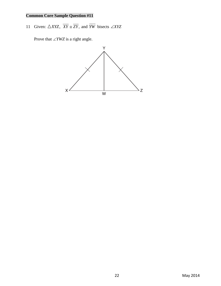11 Given:  $\triangle XYZ$ ,  $\overline{XY} \cong \overline{ZY}$ , and  $\overline{YW}$  bisects  $\angle XYZ$ 

Prove that ∠*YWZ* is a right angle.

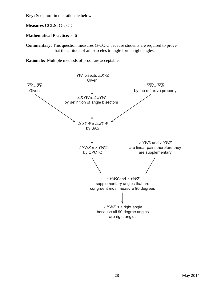**Key:** See proof in the rationale below.

**Measures CCLS:** G-CO.C

**Mathematical Practice:** 3, 6

**Commentary:** This question measures G-CO.C because students are required to prove that the altitude of an isosceles triangle forms right angles.

**Rationale:** Multiple methods of proof are acceptable.

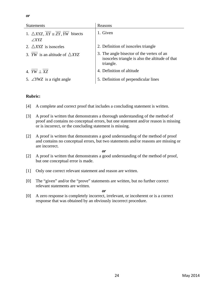| <b>Statements</b>                                                 | Reasons                                                                                                   |
|-------------------------------------------------------------------|-----------------------------------------------------------------------------------------------------------|
| 1. $\triangle XYZ$ , $XY \cong ZY$ , $YW$ bisects<br>$\angle XYZ$ | 1. Given                                                                                                  |
| 2. $\triangle XYZ$ is isosceles                                   | 2. Definition of isosceles triangle                                                                       |
| 3. <i>YW</i> is an altitude of $\triangle XYZ$                    | 3. The angle bisector of the vertex of an<br>isosceles triangle is also the altitude of that<br>triangle. |
| 4. $YW \perp XZ$                                                  | 4. Definition of altitude                                                                                 |
| 5. $\angle YWZ$ is a right angle                                  | 5. Definition of perpendicular lines                                                                      |

#### **Rubric:**

- [4] A complete and correct proof that includes a concluding statement is written.
- [3] A proof is written that demonstrates a thorough understanding of the method of proof and contains no conceptual errors, but one statement and/or reason is missing or is incorrect, or the concluding statement is missing.
- [2] A proof is written that demonstrates a good understanding of the method of proof and contains no conceptual errors, but two statements and/or reasons are missing or are incorrect.

*or* 

- [2] A proof is written that demonstrates a good understanding of the method of proof, but one conceptual error is made.
- [1] Only one correct relevant statement and reason are written.
- [0] The "given" and/or the "prove" statements are written, but no further correct relevant statements are written.

*or* 

[0] A zero response is completely incorrect, irrelevant, or incoherent or is a correct response that was obtained by an obviously incorrect procedure.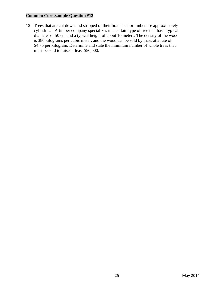12 Trees that are cut down and stripped of their branches for timber are approximately cylindrical. A timber company specializes in a certain type of tree that has a typical diameter of 50 cm and a typical height of about 10 meters. The density of the wood is 380 kilograms per cubic meter, and the wood can be sold by mass at a rate of \$4.75 per kilogram. Determine and state the minimum number of whole trees that must be sold to raise at least \$50,000.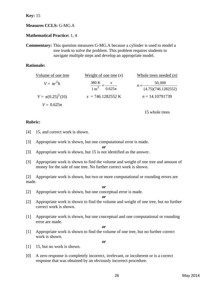**Key:** 15

#### **Measures CCLS:** G-MG.A

**Mathematical Practice:** 1, 4

**Commentary:** This question measures G-MG.A because a cylinder is used to model a tree trunk to solve the problem. This problem requires students to navigate multiple steps and develop an appropriate model.

#### **Rationale:**

| Volume of one tree      | Weight of one tree $(x)$                                    | Whole trees needed $(n)$ |
|-------------------------|-------------------------------------------------------------|--------------------------|
| $V = \pi r^2 h$         | 380 K<br>$\boldsymbol{\mathcal{X}}$                         | 50,000                   |
|                         | $\frac{1 \text{ m}^3}{1 \text{ m}^3} = \frac{1}{0.625 \pi}$ | (4.75)(746.1282552)      |
| $V = \pi (0.25)^2 (10)$ | $x = 746.1282552 \text{ K}$                                 | $n = 14.10791739$        |
| $V = 0.625\pi$          |                                                             |                          |

15 whole trees

#### **Rubric:**

- [4] 15, and correct work is shown.
- [3] Appropriate work is shown, but one computational error is made.

*or* 

- [3] Appropriate work is shown, but 15 is not identified as the answer.
- [3] Appropriate work is shown to find the volume and weight of one tree and amount of money for the sale of one tree. No further correct work is shown.

[2] Appropriate work is shown, but two or more computational or rounding errors are made.

- *or*
- [2] Appropriate work is shown, but one conceptual error is made.

*or* 

- [2] Appropriate work is shown to find the volume and weight of one tree, but no further correct work is shown.
- [1] Appropriate work is shown, but one conceptual and one computational or rounding error are made.

*or* 

[1] Appropriate work is shown to find the volume of one tree, but no further correct work is shown.

*or* 

- [1] 15, but no work is shown.
- [0] A zero response is completely incorrect, irrelevant, or incoherent or is a correct response that was obtained by an obviously incorrect procedure.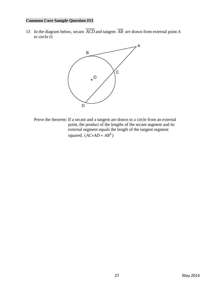13 In the diagram below, secant  $\overline{ACD}$  and tangent  $\overline{AB}$  are drawn from external point *A* to circle *O.* 



Prove the theorem: If a secant and a tangent are drawn to a circle from an external point, the product of the lengths of the secant segment and its external segment equals the length of the tangent segment squared.  $(AC \cdot AD = AB^2)$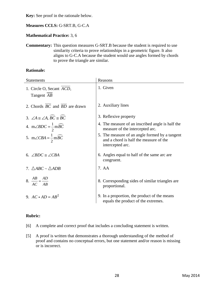**Key:** See proof in the rationale below.

#### **Measures CCLS:** G-SRT.B, G-C.A

#### **Mathematical Practice:** 3, 6

**Commentary:** This question measures G-SRT.B because the student is required to use similarity criteria to prove relationships in a geometric figure. It also aligns to G-C.A because the student would use angles formed by chords to prove the triangle are similar.

#### **Rationale:**

| <b>Statements</b>                                                        | Reasons                                                                                                      |
|--------------------------------------------------------------------------|--------------------------------------------------------------------------------------------------------------|
| 1. Circle O, Secant ACD,<br>Tangent AB                                   | 1. Given                                                                                                     |
| 2. Chords $BC$ and $\overline{BD}$ are drawn                             | 2. Auxiliary lines                                                                                           |
| 3. $\angle A \cong \angle A$ , $\angle B\angle C \cong \angle B\angle C$ | 3. Reflexive property                                                                                        |
| 4. $m\angle BDC = \frac{1}{2}m\widehat{BC}$                              | 4. The measure of an inscribed angle is half the<br>measure of the intercepted arc.                          |
| 5. $m\angle CBA = \frac{1}{2}m\widehat{BC}$                              | 5. The measure of an angle formed by a tangent<br>and a chord is half the measure of the<br>intercepted arc. |
| 6. $\angle BDC \cong \angle CBA$                                         | 6. Angles equal to half of the same arc are<br>congruent.                                                    |
| 7. $\triangle ABC \sim \triangle ADB$                                    | 7. AA                                                                                                        |
| $8. \frac{AB}{AC} = \frac{AD}{AB}$                                       | 8. Corresponding sides of similar triangles are<br>proportional.                                             |
| 9. $AC \cdot AD = AB^2$                                                  | 9. In a proportion, the product of the means<br>equals the product of the extremes.                          |

### **Rubric:**

- [6] A complete and correct proof that includes a concluding statement is written.
- [5] A proof is written that demonstrates a thorough understanding of the method of proof and contains no conceptual errors, but one statement and/or reason is missing or is incorrect.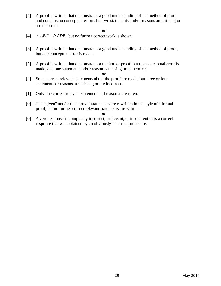[4] A proof is written that demonstrates a good understanding of the method of proof and contains no conceptual errors, but two statements and/or reasons are missing or are incorrect.

*or* 

- [4]  $\triangle ABC \sim \triangle ADB$ , but no further correct work is shown.
- [3] A proof is written that demonstrates a good understanding of the method of proof, but one conceptual error is made.
- [2] A proof is written that demonstrates a method of proof, but one conceptual error is made, and one statement and/or reason is missing or is incorrect.

*or* 

- [2] Some correct relevant statements about the proof are made, but three or four statements or reasons are missing or are incorrect.
- [1] Only one correct relevant statement and reason are written.
- [0] The "given" and/or the "prove" statements are rewritten in the style of a formal proof, but no further correct relevant statements are written.

*or* 

[0] A zero response is completely incorrect, irrelevant, or incoherent or is a correct response that was obtained by an obviously incorrect procedure.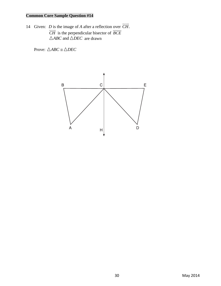14 Given: *D* is the image of *A* after a reflection over  $\overrightarrow{CH}$ . *CH* is the perpendicular bisector of *BCE*  $\triangle ABC$  and  $\triangle DEC$  are drawn

Prove:  $\triangle ABC \cong \triangle DEC$ 

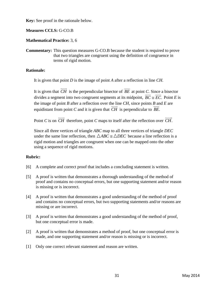**Key:** See proof in the rationale below.

**Measures CCLS:** G-CO.B

**Mathematical Practice:** 3, 6

**Commentary:** This question measures G-CO.B because the student is required to prove that two triangles are congruent using the definition of congruence in terms of rigid motion.

#### **Rationale:**

It is given that point *D* is the image of point *A* after a reflection in line *CH*.

It is given that  $\overrightarrow{CH}$  is the perpendicular bisector of  $\overrightarrow{BE}$  at point *C*. Since a bisector divides a segment into two congruent segments at its midpoint,  $\overline{BC} \cong \overline{EC}$ . Point *E* is the image of point *B* after a reflection over the line *CH*, since points *B* and *E* are equidistant from point *C* and it is given that  $\overrightarrow{CH}$  is perpendicular to  $\overrightarrow{BE}$ .

Point *C* is on  $\overrightarrow{CH}$  therefore, point *C* maps to itself after the reflection over  $\overrightarrow{CH}$ .

Since all three vertices of triangle *ABC* map to all three vertices of triangle *DEC* under the same line reflection, then  $\triangle ABC \cong \triangle DEC$  because a line reflection is a rigid motion and triangles are congruent when one can be mapped onto the other using a sequence of rigid motions.

### **Rubric:**

- [6] A complete and correct proof that includes a concluding statement is written.
- [5] A proof is written that demonstrates a thorough understanding of the method of proof and contains no conceptual errors, but one supporting statement and/or reason is missing or is incorrect.
- [4] A proof is written that demonstrates a good understanding of the method of proof and contains no conceptual errors, but two supporting statements and/or reasons are missing or are incorrect.
- [3] A proof is written that demonstrates a good understanding of the method of proof, but one conceptual error is made.
- [2] A proof is written that demonstrates a method of proof, but one conceptual error is made, and one supporting statement and/or reason is missing or is incorrect.
- [1] Only one correct relevant statement and reason are written.